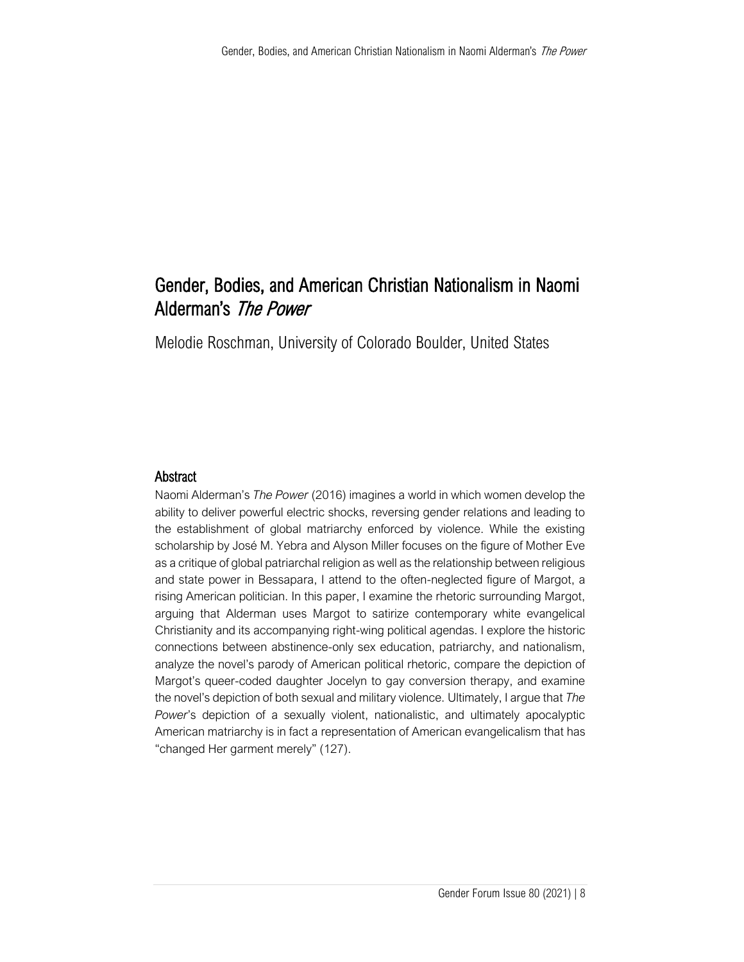# Gender, Bodies, and American Christian Nationalism in Naomi Alderman's The Power

Melodie Roschman, University of Colorado Boulder, United States

# Abstract

Naomi Alderman's *The Power* (2016) imagines a world in which women develop the ability to deliver powerful electric shocks, reversing gender relations and leading to the establishment of global matriarchy enforced by violence. While the existing scholarship by José M. Yebra and Alyson Miller focuses on the figure of Mother Eve as a critique of global patriarchal religion as well as the relationship between religious and state power in Bessapara, I attend to the often-neglected figure of Margot, a rising American politician. In this paper, I examine the rhetoric surrounding Margot, arguing that Alderman uses Margot to satirize contemporary white evangelical Christianity and its accompanying right-wing political agendas. I explore the historic connections between abstinence-only sex education, patriarchy, and nationalism, analyze the novel's parody of American political rhetoric, compare the depiction of Margot's queer-coded daughter Jocelyn to gay conversion therapy, and examine the novel's depiction of both sexual and military violence. Ultimately, I argue that *The Power*'s depiction of a sexually violent, nationalistic, and ultimately apocalyptic American matriarchy is in fact a representation of American evangelicalism that has "changed Her garment merely" (127).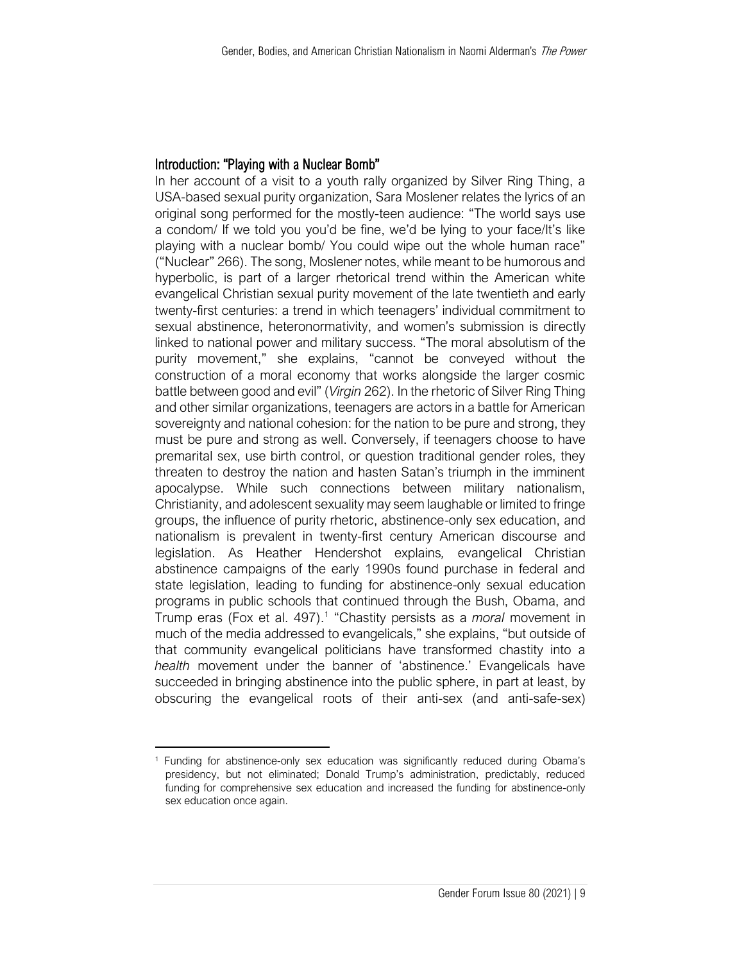### Introduction: "Playing with a Nuclear Bomb"

In her account of a visit to a youth rally organized by Silver Ring Thing, a USA-based sexual purity organization, Sara Moslener relates the lyrics of an original song performed for the mostly-teen audience: "The world says use a condom/ If we told you you'd be fine, we'd be lying to your face/It's like playing with a nuclear bomb/ You could wipe out the whole human race" ("Nuclear" 266). The song, Moslener notes, while meant to be humorous and hyperbolic, is part of a larger rhetorical trend within the American white evangelical Christian sexual purity movement of the late twentieth and early twenty-first centuries: a trend in which teenagers' individual commitment to sexual abstinence, heteronormativity, and women's submission is directly linked to national power and military success. "The moral absolutism of the purity movement," she explains, "cannot be conveyed without the construction of a moral economy that works alongside the larger cosmic battle between good and evil" (*Virgin* 262). In the rhetoric of Silver Ring Thing and other similar organizations, teenagers are actors in a battle for American sovereignty and national cohesion: for the nation to be pure and strong, they must be pure and strong as well. Conversely, if teenagers choose to have premarital sex, use birth control, or question traditional gender roles, they threaten to destroy the nation and hasten Satan's triumph in the imminent apocalypse. While such connections between military nationalism, Christianity, and adolescent sexuality may seem laughable or limited to fringe groups, the influence of purity rhetoric, abstinence-only sex education, and nationalism is prevalent in twenty-first century American discourse and legislation. As Heather Hendershot explains*,* evangelical Christian abstinence campaigns of the early 1990s found purchase in federal and state legislation, leading to funding for abstinence-only sexual education programs in public schools that continued through the Bush, Obama, and Trump eras (Fox et al. 497).<sup>1</sup> "Chastity persists as a *moral* movement in much of the media addressed to evangelicals," she explains, "but outside of that community evangelical politicians have transformed chastity into a *health* movement under the banner of 'abstinence.' Evangelicals have succeeded in bringing abstinence into the public sphere, in part at least, by obscuring the evangelical roots of their anti-sex (and anti-safe-sex)

<sup>&</sup>lt;sup>1</sup> Funding for abstinence-only sex education was significantly reduced during Obama's presidency, but not eliminated; Donald Trump's administration, predictably, reduced funding for comprehensive sex education and increased the funding for abstinence-only sex education once again.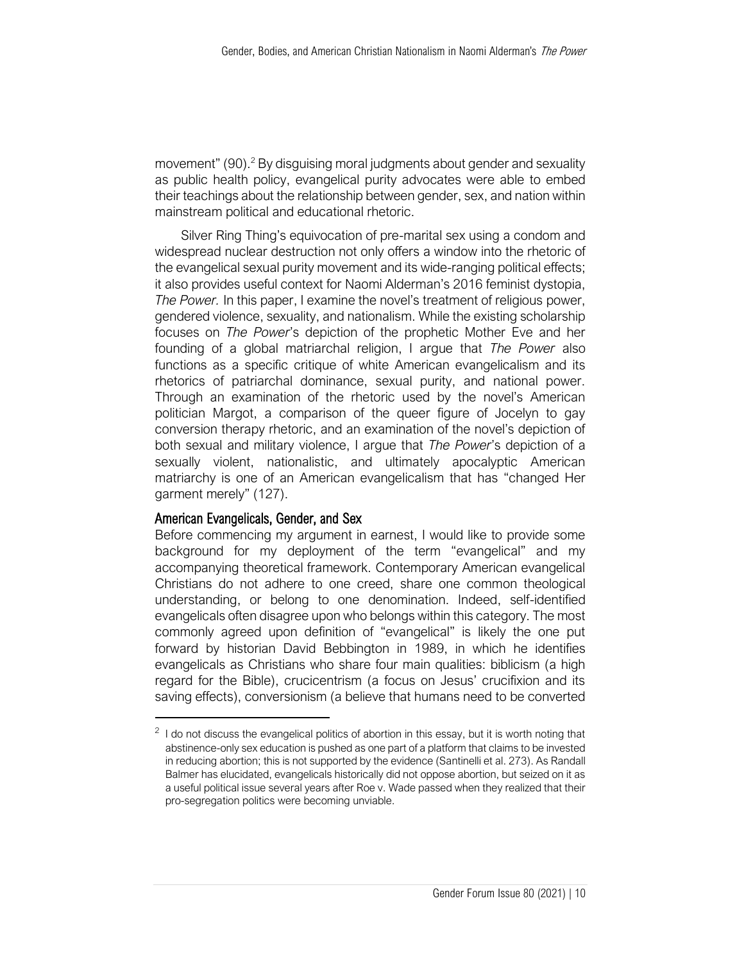movement"  $(90)^2$  By disguising moral judgments about gender and sexuality as public health policy, evangelical purity advocates were able to embed their teachings about the relationship between gender, sex, and nation within mainstream political and educational rhetoric.

Silver Ring Thing's equivocation of pre-marital sex using a condom and widespread nuclear destruction not only offers a window into the rhetoric of the evangelical sexual purity movement and its wide-ranging political effects; it also provides useful context for Naomi Alderman's 2016 feminist dystopia, *The Power.* In this paper, I examine the novel's treatment of religious power, gendered violence, sexuality, and nationalism. While the existing scholarship focuses on *The Power*'s depiction of the prophetic Mother Eve and her founding of a global matriarchal religion, I argue that *The Power* also functions as a specific critique of white American evangelicalism and its rhetorics of patriarchal dominance, sexual purity, and national power. Through an examination of the rhetoric used by the novel's American politician Margot, a comparison of the queer figure of Jocelyn to gay conversion therapy rhetoric, and an examination of the novel's depiction of both sexual and military violence, I argue that *The Power*'s depiction of a sexually violent, nationalistic, and ultimately apocalyptic American matriarchy is one of an American evangelicalism that has "changed Her garment merely" (127).

#### American Evangelicals, Gender, and Sex

Before commencing my argument in earnest, I would like to provide some background for my deployment of the term "evangelical" and my accompanying theoretical framework. Contemporary American evangelical Christians do not adhere to one creed, share one common theological understanding, or belong to one denomination. Indeed, self-identified evangelicals often disagree upon who belongs within this category. The most commonly agreed upon definition of "evangelical" is likely the one put forward by historian David Bebbington in 1989, in which he identifies evangelicals as Christians who share four main qualities: biblicism (a high regard for the Bible), crucicentrism (a focus on Jesus' crucifixion and its saving effects), conversionism (a believe that humans need to be converted

 $2$  I do not discuss the evangelical politics of abortion in this essay, but it is worth noting that abstinence-only sex education is pushed as one part of a platform that claims to be invested in reducing abortion; this is not supported by the evidence (Santinelli et al. 273). As Randall Balmer has elucidated, evangelicals historically did not oppose abortion, but seized on it as a useful political issue several years after Roe v. Wade passed when they realized that their pro-segregation politics were becoming unviable.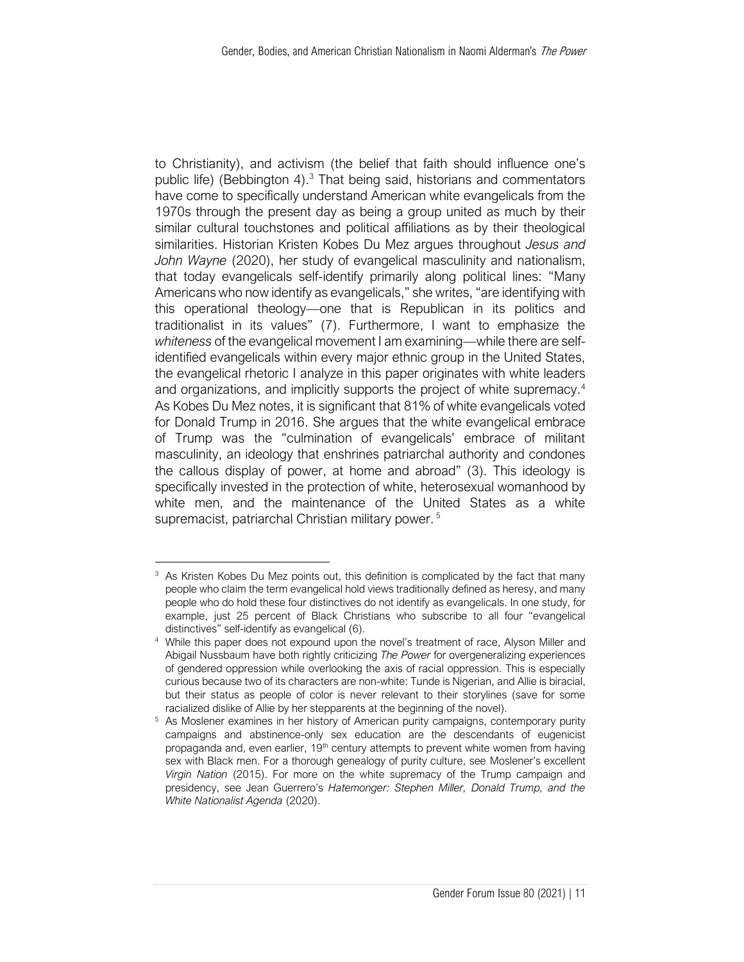to Christianity), and activism (the belief that faith should influence one's public life) (Bebbington 4).<sup>3</sup> That being said, historians and commentators have come to specifically understand American white evangelicals from the 1970s through the present day as being a group united as much by their similar cultural touchstones and political affiliations as by their theological similarities. Historian Kristen Kobes Du Mez argues throughout *Jesus and John Wayne* (2020), her study of evangelical masculinity and nationalism, that today evangelicals self-identify primarily along political lines: "Many Americans who now identify as evangelicals," she writes, "are identifying with this operational theology—one that is Republican in its politics and traditionalist in its values" (7). Furthermore, I want to emphasize the *whiteness* of the evangelical movement I am examining—while there are selfidentified evangelicals within every major ethnic group in the United States, the evangelical rhetoric I analyze in this paper originates with white leaders and organizations, and implicitly supports the project of white supremacy.<sup>4</sup> As Kobes Du Mez notes, it is significant that 81% of white evangelicals voted for Donald Trump in 2016. She argues that the white evangelical embrace of Trump was the "culmination of evangelicals' embrace of militant masculinity, an ideology that enshrines patriarchal authority and condones the callous display of power, at home and abroad" (3). This ideology is specifically invested in the protection of white, heterosexual womanhood by white men, and the maintenance of the United States as a white supremacist, patriarchal Christian military power. <sup>5</sup>

<sup>&</sup>lt;sup>3</sup> As Kristen Kobes Du Mez points out, this definition is complicated by the fact that many people who claim the term evangelical hold views traditionally defined as heresy, and many people who do hold these four distinctives do not identify as evangelicals. In one study, for example, just 25 percent of Black Christians who subscribe to all four "evangelical distinctives" self-identify as evangelical (6).

<sup>4</sup> While this paper does not expound upon the novel's treatment of race, Alyson Miller and Abigail Nussbaum have both rightly criticizing *The Power* for overgeneralizing experiences of gendered oppression while overlooking the axis of racial oppression. This is especially curious because two of its characters are non-white: Tunde is Nigerian, and Allie is biracial, but their status as people of color is never relevant to their storylines (save for some racialized dislike of Allie by her stepparents at the beginning of the novel).

<sup>&</sup>lt;sup>5</sup> As Moslener examines in her history of American purity campaigns, contemporary purity campaigns and abstinence-only sex education are the descendants of eugenicist propaganda and, even earlier, 19<sup>th</sup> century attempts to prevent white women from having sex with Black men. For a thorough genealogy of purity culture, see Moslener's excellent *Virgin Nation* (2015). For more on the white supremacy of the Trump campaign and presidency, see Jean Guerrero's *Hatemonger: Stephen Miller, Donald Trump, and the White Nationalist Agenda* (2020).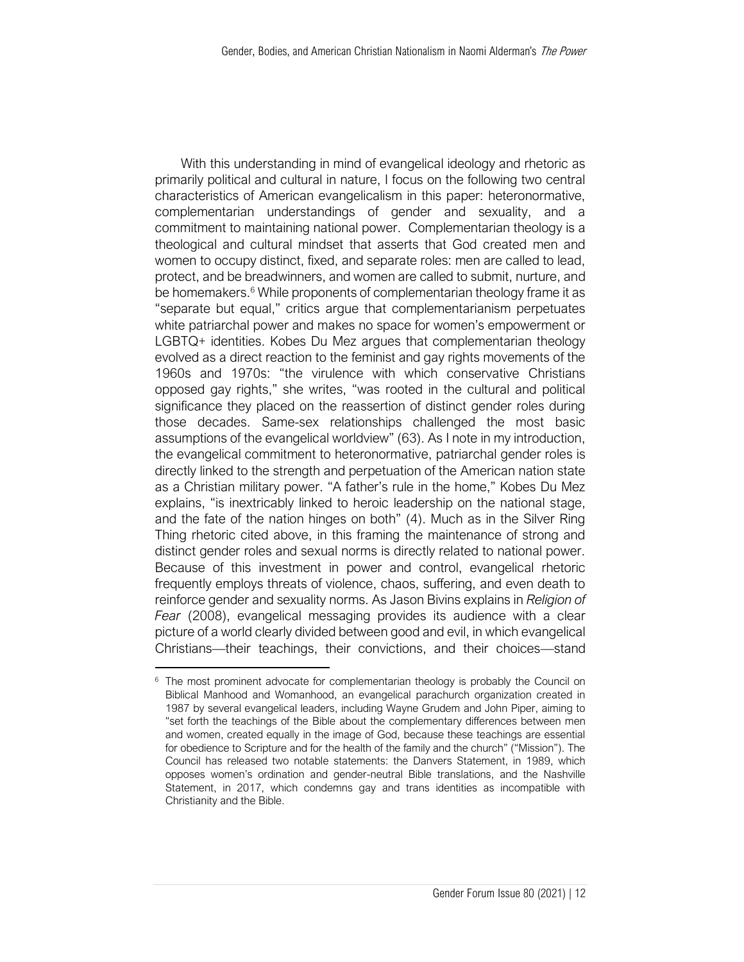With this understanding in mind of evangelical ideology and rhetoric as primarily political and cultural in nature, I focus on the following two central characteristics of American evangelicalism in this paper: heteronormative, complementarian understandings of gender and sexuality, and a commitment to maintaining national power. Complementarian theology is a theological and cultural mindset that asserts that God created men and women to occupy distinct, fixed, and separate roles: men are called to lead, protect, and be breadwinners, and women are called to submit, nurture, and be homemakers. $6$  While proponents of complementarian theology frame it as "separate but equal," critics argue that complementarianism perpetuates white patriarchal power and makes no space for women's empowerment or LGBTQ+ identities. Kobes Du Mez argues that complementarian theology evolved as a direct reaction to the feminist and gay rights movements of the 1960s and 1970s: "the virulence with which conservative Christians opposed gay rights," she writes, "was rooted in the cultural and political significance they placed on the reassertion of distinct gender roles during those decades. Same-sex relationships challenged the most basic assumptions of the evangelical worldview" (63). As I note in my introduction, the evangelical commitment to heteronormative, patriarchal gender roles is directly linked to the strength and perpetuation of the American nation state as a Christian military power. "A father's rule in the home," Kobes Du Mez explains, "is inextricably linked to heroic leadership on the national stage, and the fate of the nation hinges on both" (4). Much as in the Silver Ring Thing rhetoric cited above, in this framing the maintenance of strong and distinct gender roles and sexual norms is directly related to national power. Because of this investment in power and control, evangelical rhetoric frequently employs threats of violence, chaos, suffering, and even death to reinforce gender and sexuality norms. As Jason Bivins explains in *Religion of Fear* (2008), evangelical messaging provides its audience with a clear picture of a world clearly divided between good and evil, in which evangelical Christians—their teachings, their convictions, and their choices—stand

<sup>&</sup>lt;sup>6</sup> The most prominent advocate for complementarian theology is probably the Council on Biblical Manhood and Womanhood, an evangelical parachurch organization created in 1987 by several evangelical leaders, including Wayne Grudem and John Piper, aiming to "set forth the teachings of the Bible about the complementary differences between men and women, created equally in the image of God, because these teachings are essential for obedience to Scripture and for the health of the family and the church" ("Mission"). The Council has released two notable statements: the Danvers Statement, in 1989, which opposes women's ordination and gender-neutral Bible translations, and the Nashville Statement, in 2017, which condemns gay and trans identities as incompatible with Christianity and the Bible.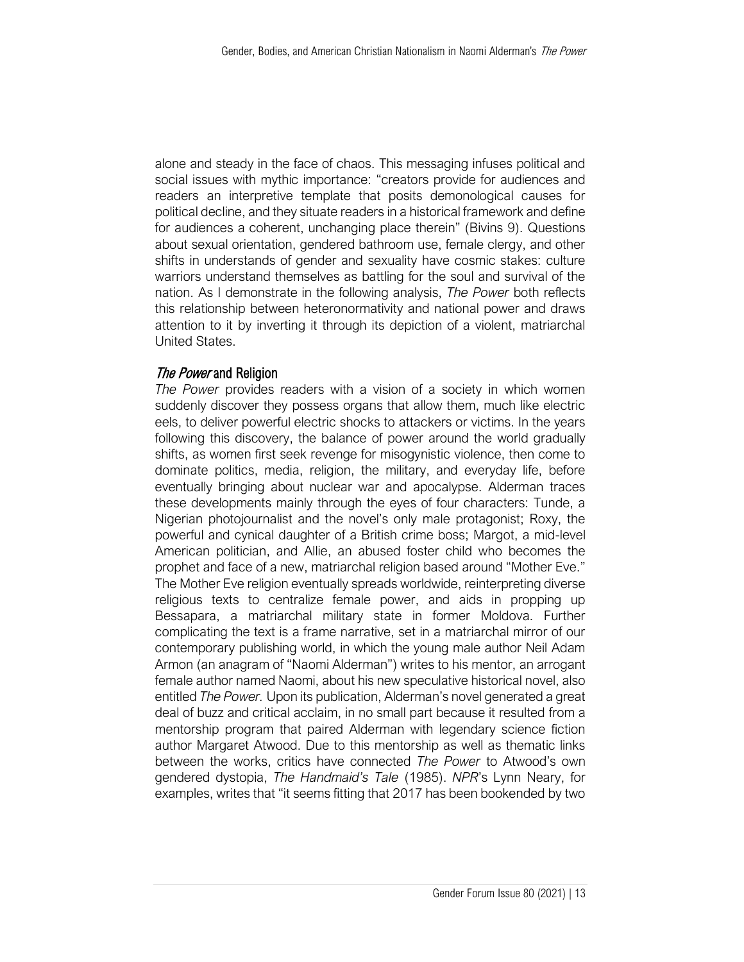alone and steady in the face of chaos. This messaging infuses political and social issues with mythic importance: "creators provide for audiences and readers an interpretive template that posits demonological causes for political decline, and they situate readers in a historical framework and define for audiences a coherent, unchanging place therein" (Bivins 9). Questions about sexual orientation, gendered bathroom use, female clergy, and other shifts in understands of gender and sexuality have cosmic stakes: culture warriors understand themselves as battling for the soul and survival of the nation. As I demonstrate in the following analysis, *The Power* both reflects this relationship between heteronormativity and national power and draws attention to it by inverting it through its depiction of a violent, matriarchal United States.

## The Power and Religion

*The Power* provides readers with a vision of a society in which women suddenly discover they possess organs that allow them, much like electric eels, to deliver powerful electric shocks to attackers or victims. In the years following this discovery, the balance of power around the world gradually shifts, as women first seek revenge for misogynistic violence, then come to dominate politics, media, religion, the military, and everyday life, before eventually bringing about nuclear war and apocalypse. Alderman traces these developments mainly through the eyes of four characters: Tunde, a Nigerian photojournalist and the novel's only male protagonist; Roxy, the powerful and cynical daughter of a British crime boss; Margot, a mid-level American politician, and Allie, an abused foster child who becomes the prophet and face of a new, matriarchal religion based around "Mother Eve." The Mother Eve religion eventually spreads worldwide, reinterpreting diverse religious texts to centralize female power, and aids in propping up Bessapara, a matriarchal military state in former Moldova. Further complicating the text is a frame narrative, set in a matriarchal mirror of our contemporary publishing world, in which the young male author Neil Adam Armon (an anagram of "Naomi Alderman") writes to his mentor, an arrogant female author named Naomi, about his new speculative historical novel, also entitled *The Power.* Upon its publication, Alderman's novel generated a great deal of buzz and critical acclaim, in no small part because it resulted from a mentorship program that paired Alderman with legendary science fiction author Margaret Atwood. Due to this mentorship as well as thematic links between the works, critics have connected *The Power* to Atwood's own gendered dystopia, *The Handmaid's Tale* (1985). *NPR*'s Lynn Neary, for examples, writes that "it seems fitting that 2017 has been bookended by two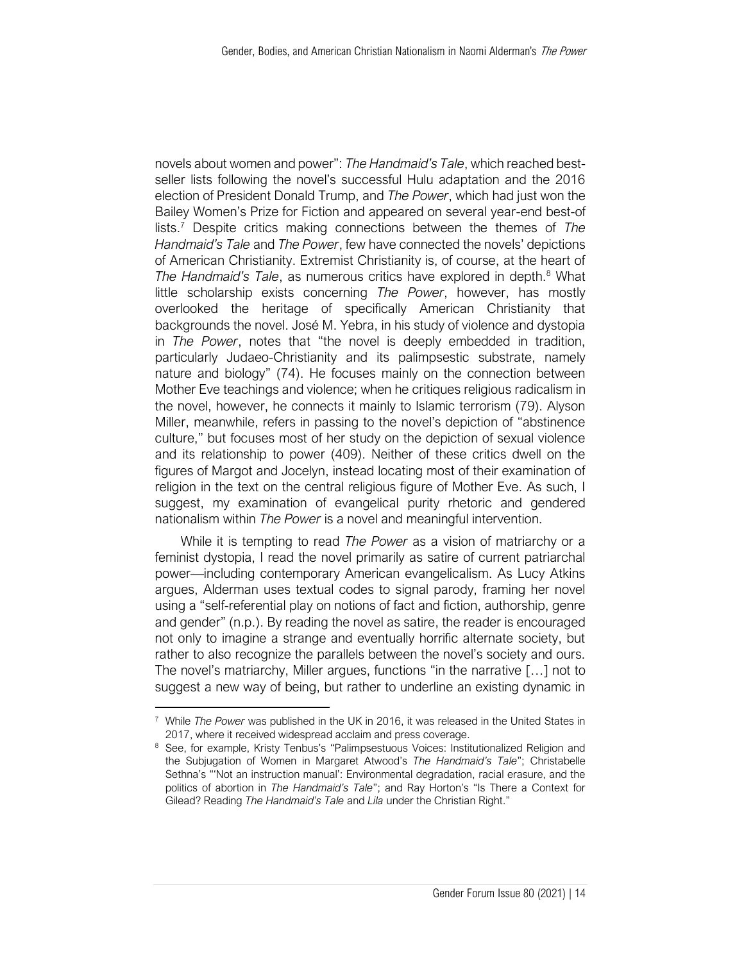novels about women and power": *The Handmaid's Tale*, which reached bestseller lists following the novel's successful Hulu adaptation and the 2016 election of President Donald Trump, and *The Power*, which had just won the Bailey Women's Prize for Fiction and appeared on several year-end best-of lists.<sup>7</sup> Despite critics making connections between the themes of *The Handmaid's Tale* and *The Power*, few have connected the novels' depictions of American Christianity. Extremist Christianity is, of course, at the heart of The Handmaid's Tale, as numerous critics have explored in depth.<sup>8</sup> What little scholarship exists concerning *The Power*, however, has mostly overlooked the heritage of specifically American Christianity that backgrounds the novel. José M. Yebra, in his study of violence and dystopia in *The Power*, notes that "the novel is deeply embedded in tradition, particularly Judaeo-Christianity and its palimpsestic substrate, namely nature and biology" (74). He focuses mainly on the connection between Mother Eve teachings and violence; when he critiques religious radicalism in the novel, however, he connects it mainly to Islamic terrorism (79). Alyson Miller, meanwhile, refers in passing to the novel's depiction of "abstinence culture," but focuses most of her study on the depiction of sexual violence and its relationship to power (409). Neither of these critics dwell on the figures of Margot and Jocelyn, instead locating most of their examination of religion in the text on the central religious figure of Mother Eve. As such, I suggest, my examination of evangelical purity rhetoric and gendered nationalism within *The Power* is a novel and meaningful intervention.

While it is tempting to read *The Power* as a vision of matriarchy or a feminist dystopia, I read the novel primarily as satire of current patriarchal power—including contemporary American evangelicalism. As Lucy Atkins argues, Alderman uses textual codes to signal parody, framing her novel using a "self-referential play on notions of fact and fiction, authorship, genre and gender" (n.p.). By reading the novel as satire, the reader is encouraged not only to imagine a strange and eventually horrific alternate society, but rather to also recognize the parallels between the novel's society and ours. The novel's matriarchy, Miller argues, functions "in the narrative […] not to suggest a new way of being, but rather to underline an existing dynamic in

<sup>7</sup> While *The Power* was published in the UK in 2016, it was released in the United States in 2017, where it received widespread acclaim and press coverage.

<sup>8</sup> See, for example, Kristy Tenbus's "Palimpsestuous Voices: Institutionalized Religion and the Subjugation of Women in Margaret Atwood's *The Handmaid's Tale*"; Christabelle Sethna's "'Not an instruction manual': Environmental degradation, racial erasure, and the politics of abortion in *The Handmaid's Tale*"; and Ray Horton's "Is There a Context for Gilead? Reading *The Handmaid's Tale* and *Lila* under the Christian Right."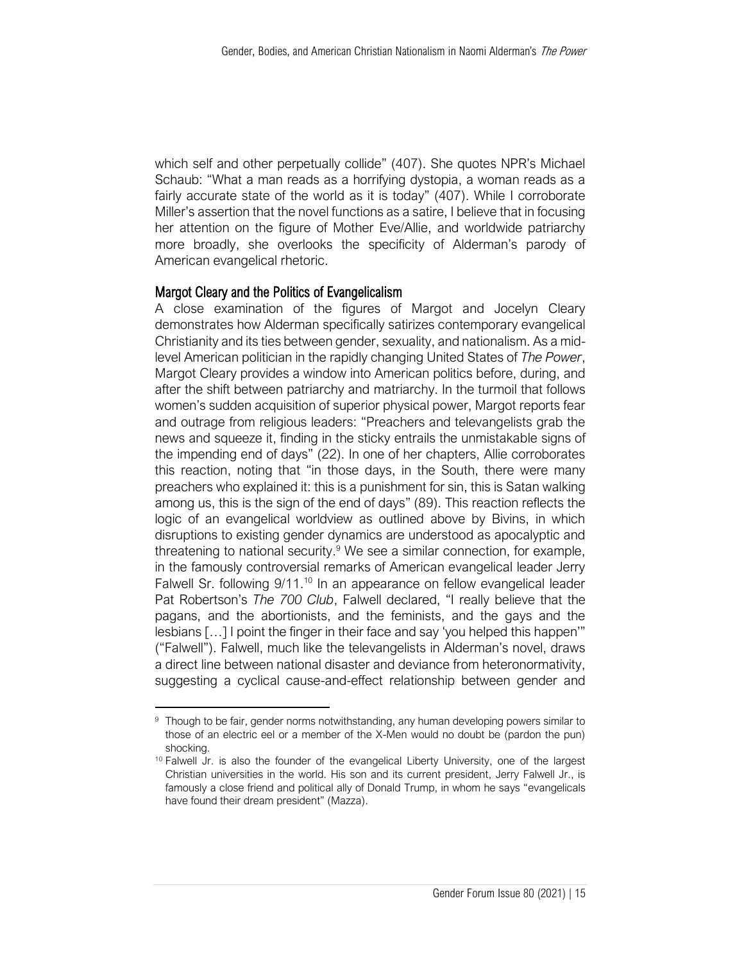which self and other perpetually collide" (407). She quotes NPR's Michael Schaub: "What a man reads as a horrifying dystopia, a woman reads as a fairly accurate state of the world as it is today" (407). While I corroborate Miller's assertion that the novel functions as a satire, I believe that in focusing her attention on the figure of Mother Eve/Allie, and worldwide patriarchy more broadly, she overlooks the specificity of Alderman's parody of American evangelical rhetoric.

#### Margot Cleary and the Politics of Evangelicalism

A close examination of the figures of Margot and Jocelyn Cleary demonstrates how Alderman specifically satirizes contemporary evangelical Christianity and its ties between gender, sexuality, and nationalism. As a midlevel American politician in the rapidly changing United States of *The Power*, Margot Cleary provides a window into American politics before, during, and after the shift between patriarchy and matriarchy. In the turmoil that follows women's sudden acquisition of superior physical power, Margot reports fear and outrage from religious leaders: "Preachers and televangelists grab the news and squeeze it, finding in the sticky entrails the unmistakable signs of the impending end of days" (22). In one of her chapters, Allie corroborates this reaction, noting that "in those days, in the South, there were many preachers who explained it: this is a punishment for sin, this is Satan walking among us, this is the sign of the end of days" (89). This reaction reflects the logic of an evangelical worldview as outlined above by Bivins, in which disruptions to existing gender dynamics are understood as apocalyptic and threatening to national security.<sup>9</sup> We see a similar connection, for example, in the famously controversial remarks of American evangelical leader Jerry Falwell Sr. following 9/11.<sup>10</sup> In an appearance on fellow evangelical leader Pat Robertson's *The 700 Club*, Falwell declared, "I really believe that the pagans, and the abortionists, and the feminists, and the gays and the lesbians […] I point the finger in their face and say 'you helped this happen'" ("Falwell"). Falwell, much like the televangelists in Alderman's novel, draws a direct line between national disaster and deviance from heteronormativity, suggesting a cyclical cause-and-effect relationship between gender and

<sup>&</sup>lt;sup>9</sup> Though to be fair, gender norms notwithstanding, any human developing powers similar to those of an electric eel or a member of the X-Men would no doubt be (pardon the pun) shocking.

<sup>&</sup>lt;sup>10</sup> Falwell Jr. is also the founder of the evangelical Liberty University, one of the largest Christian universities in the world. His son and its current president, Jerry Falwell Jr., is famously a close friend and political ally of Donald Trump, in whom he says "evangelicals have found their dream president" (Mazza).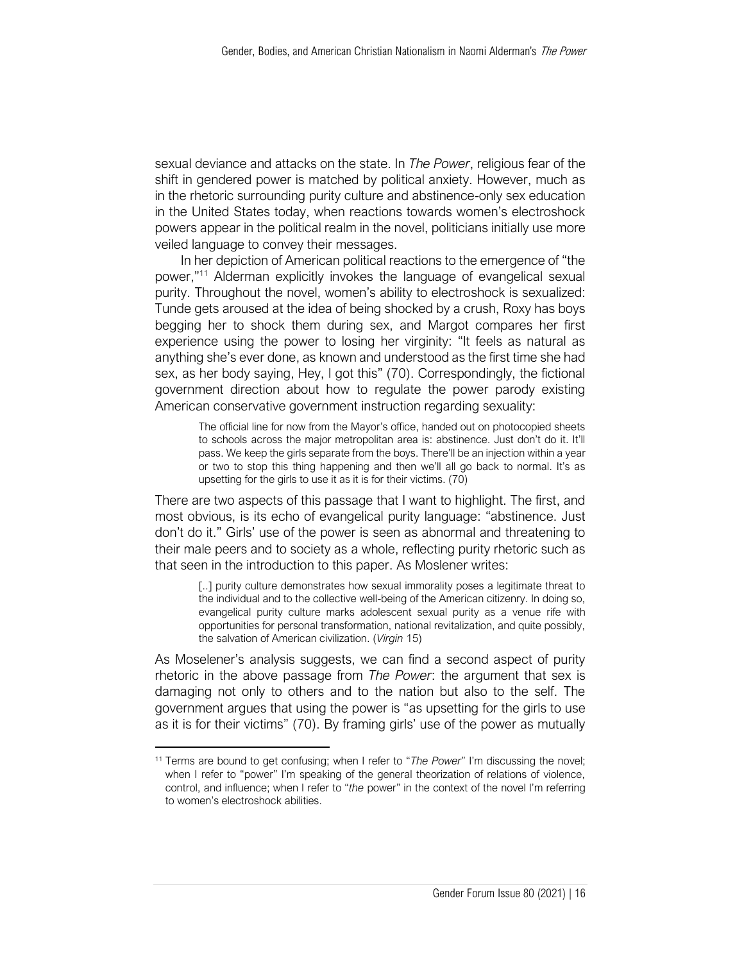sexual deviance and attacks on the state. In *The Power*, religious fear of the shift in gendered power is matched by political anxiety. However, much as in the rhetoric surrounding purity culture and abstinence-only sex education in the United States today, when reactions towards women's electroshock powers appear in the political realm in the novel, politicians initially use more veiled language to convey their messages.

In her depiction of American political reactions to the emergence of "the power,"<sup>11</sup> Alderman explicitly invokes the language of evangelical sexual purity. Throughout the novel, women's ability to electroshock is sexualized: Tunde gets aroused at the idea of being shocked by a crush, Roxy has boys begging her to shock them during sex, and Margot compares her first experience using the power to losing her virginity: "It feels as natural as anything she's ever done, as known and understood as the first time she had sex, as her body saying, Hey, I got this" (70). Correspondingly, the fictional government direction about how to regulate the power parody existing American conservative government instruction regarding sexuality:

> The official line for now from the Mayor's office, handed out on photocopied sheets to schools across the major metropolitan area is: abstinence. Just don't do it. It'll pass. We keep the girls separate from the boys. There'll be an injection within a year or two to stop this thing happening and then we'll all go back to normal. It's as upsetting for the girls to use it as it is for their victims. (70)

There are two aspects of this passage that I want to highlight. The first, and most obvious, is its echo of evangelical purity language: "abstinence. Just don't do it." Girls' use of the power is seen as abnormal and threatening to their male peers and to society as a whole, reflecting purity rhetoric such as that seen in the introduction to this paper. As Moslener writes:

> [..] purity culture demonstrates how sexual immorality poses a legitimate threat to the individual and to the collective well-being of the American citizenry. In doing so, evangelical purity culture marks adolescent sexual purity as a venue rife with opportunities for personal transformation, national revitalization, and quite possibly, the salvation of American civilization. (*Virgin* 15)

As Moselener's analysis suggests, we can find a second aspect of purity rhetoric in the above passage from *The Power*: the argument that sex is damaging not only to others and to the nation but also to the self. The government argues that using the power is "as upsetting for the girls to use as it is for their victims" (70). By framing girls' use of the power as mutually

<sup>11</sup> Terms are bound to get confusing; when I refer to "*The Power*" I'm discussing the novel; when I refer to "power" I'm speaking of the general theorization of relations of violence, control, and influence; when I refer to "*the* power" in the context of the novel I'm referring to women's electroshock abilities.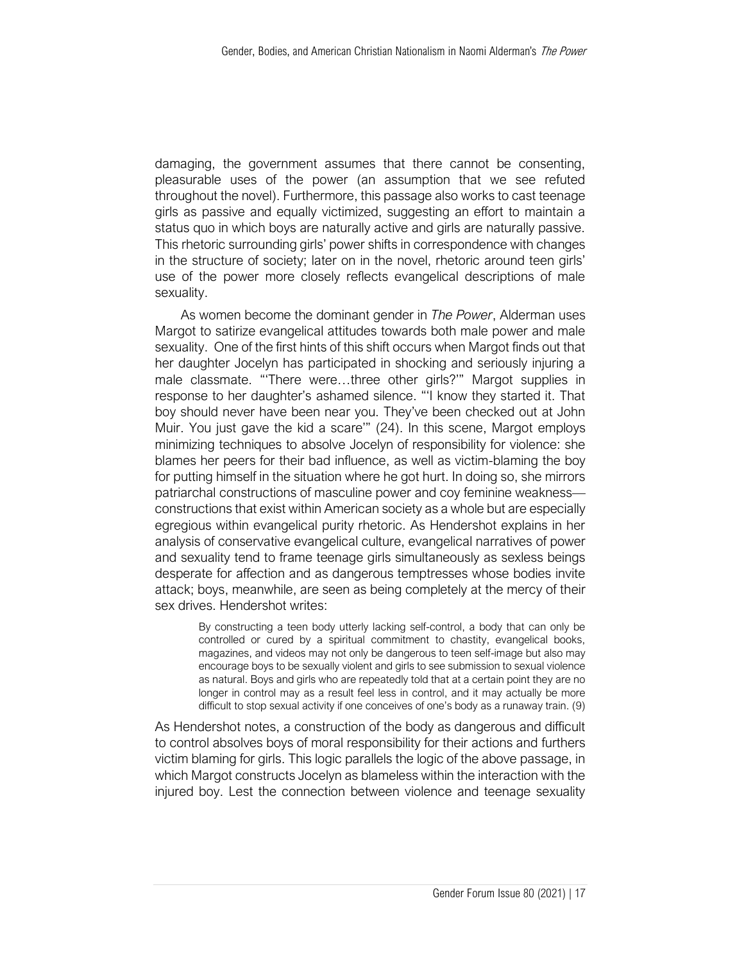damaging, the government assumes that there cannot be consenting, pleasurable uses of the power (an assumption that we see refuted throughout the novel). Furthermore, this passage also works to cast teenage girls as passive and equally victimized, suggesting an effort to maintain a status quo in which boys are naturally active and girls are naturally passive. This rhetoric surrounding girls' power shifts in correspondence with changes in the structure of society; later on in the novel, rhetoric around teen girls' use of the power more closely reflects evangelical descriptions of male sexuality.

As women become the dominant gender in *The Power*, Alderman uses Margot to satirize evangelical attitudes towards both male power and male sexuality. One of the first hints of this shift occurs when Margot finds out that her daughter Jocelyn has participated in shocking and seriously injuring a male classmate. "'There were…three other girls?'" Margot supplies in response to her daughter's ashamed silence. "'I know they started it. That boy should never have been near you. They've been checked out at John Muir. You just gave the kid a scare'" (24). In this scene, Margot employs minimizing techniques to absolve Jocelyn of responsibility for violence: she blames her peers for their bad influence, as well as victim-blaming the boy for putting himself in the situation where he got hurt. In doing so, she mirrors patriarchal constructions of masculine power and coy feminine weakness constructions that exist within American society as a whole but are especially egregious within evangelical purity rhetoric. As Hendershot explains in her analysis of conservative evangelical culture, evangelical narratives of power and sexuality tend to frame teenage girls simultaneously as sexless beings desperate for affection and as dangerous temptresses whose bodies invite attack; boys, meanwhile, are seen as being completely at the mercy of their sex drives. Hendershot writes:

By constructing a teen body utterly lacking self-control, a body that can only be controlled or cured by a spiritual commitment to chastity, evangelical books, magazines, and videos may not only be dangerous to teen self-image but also may encourage boys to be sexually violent and girls to see submission to sexual violence as natural. Boys and girls who are repeatedly told that at a certain point they are no longer in control may as a result feel less in control, and it may actually be more difficult to stop sexual activity if one conceives of one's body as a runaway train. (9)

As Hendershot notes, a construction of the body as dangerous and difficult to control absolves boys of moral responsibility for their actions and furthers victim blaming for girls. This logic parallels the logic of the above passage, in which Margot constructs Jocelyn as blameless within the interaction with the injured boy. Lest the connection between violence and teenage sexuality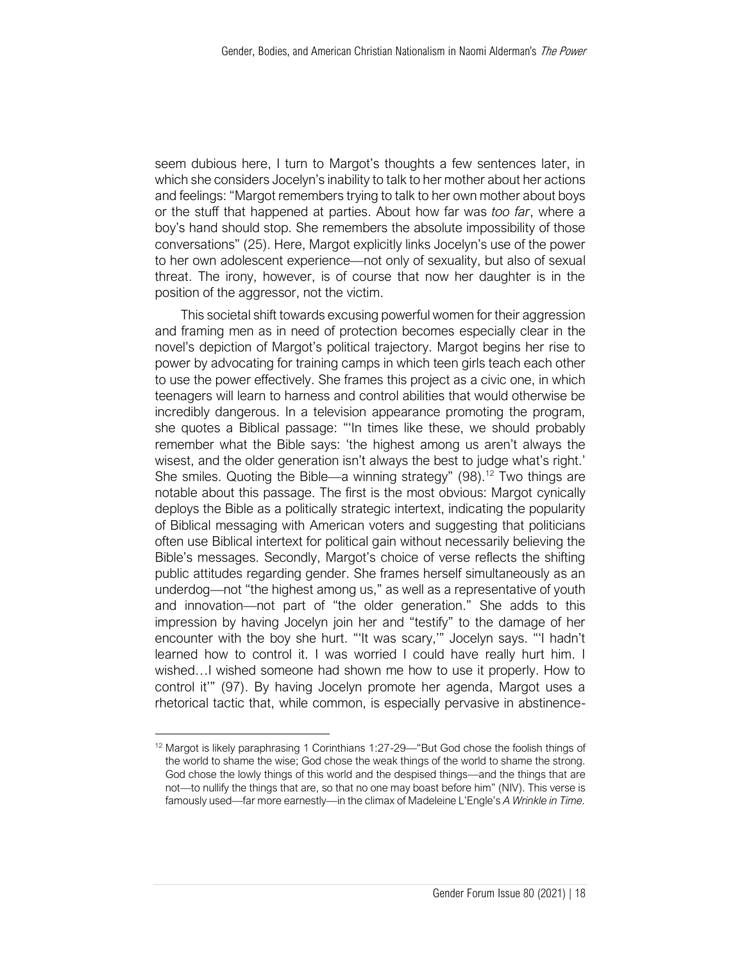seem dubious here, I turn to Margot's thoughts a few sentences later, in which she considers Jocelyn's inability to talk to her mother about her actions and feelings: "Margot remembers trying to talk to her own mother about boys or the stuff that happened at parties. About how far was *too far*, where a boy's hand should stop. She remembers the absolute impossibility of those conversations" (25). Here, Margot explicitly links Jocelyn's use of the power to her own adolescent experience—not only of sexuality, but also of sexual threat. The irony, however, is of course that now her daughter is in the position of the aggressor, not the victim.

This societal shift towards excusing powerful women for their aggression and framing men as in need of protection becomes especially clear in the novel's depiction of Margot's political trajectory. Margot begins her rise to power by advocating for training camps in which teen girls teach each other to use the power effectively. She frames this project as a civic one, in which teenagers will learn to harness and control abilities that would otherwise be incredibly dangerous. In a television appearance promoting the program, she quotes a Biblical passage: "'In times like these, we should probably remember what the Bible says: 'the highest among us aren't always the wisest, and the older generation isn't always the best to judge what's right.' She smiles. Quoting the Bible—a winning strategy"  $(98)$ .<sup>12</sup> Two things are notable about this passage. The first is the most obvious: Margot cynically deploys the Bible as a politically strategic intertext, indicating the popularity of Biblical messaging with American voters and suggesting that politicians often use Biblical intertext for political gain without necessarily believing the Bible's messages. Secondly, Margot's choice of verse reflects the shifting public attitudes regarding gender. She frames herself simultaneously as an underdog—not "the highest among us," as well as a representative of youth and innovation—not part of "the older generation." She adds to this impression by having Jocelyn join her and "testify" to the damage of her encounter with the boy she hurt. "'It was scary,'" Jocelyn says. "'I hadn't learned how to control it. I was worried I could have really hurt him. I wished…I wished someone had shown me how to use it properly. How to control it'" (97). By having Jocelyn promote her agenda, Margot uses a rhetorical tactic that, while common, is especially pervasive in abstinence-

<sup>&</sup>lt;sup>12</sup> Margot is likely paraphrasing 1 Corinthians 1:27-29—"But God chose the foolish things of the world to shame the wise; God chose the weak things of the world to shame the strong. God chose the lowly things of this world and the despised things—and the things that are not—to nullify the things that are, so that no one may boast before him" (NIV). This verse is famously used—far more earnestly—in the climax of Madeleine L'Engle's *A Wrinkle in Time.*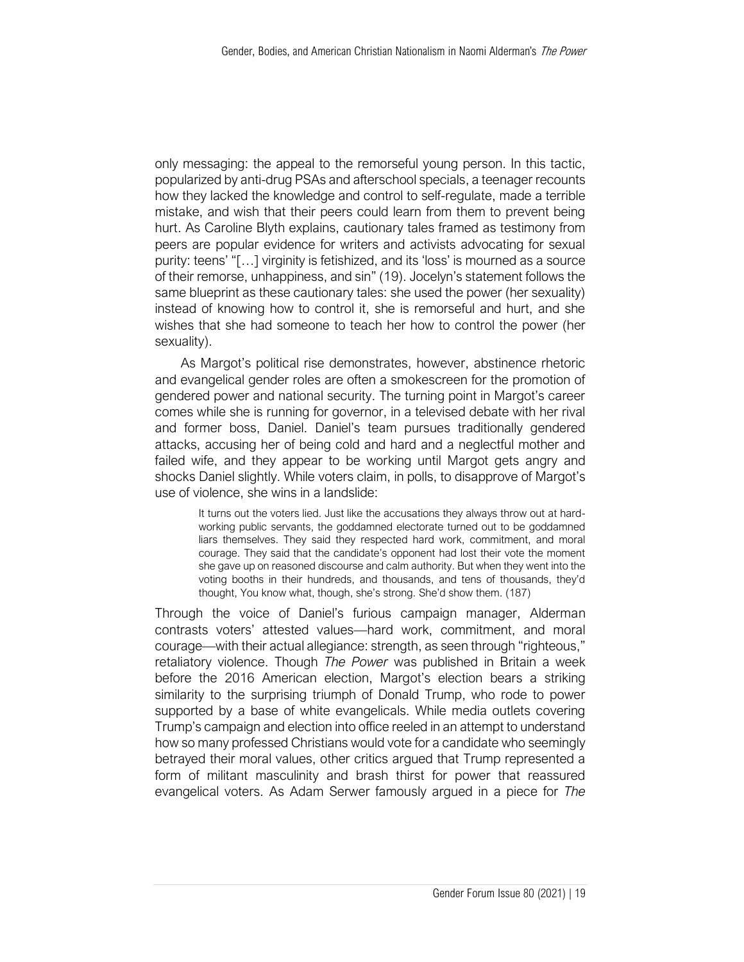only messaging: the appeal to the remorseful young person. In this tactic, popularized by anti-drug PSAs and afterschool specials, a teenager recounts how they lacked the knowledge and control to self-regulate, made a terrible mistake, and wish that their peers could learn from them to prevent being hurt. As Caroline Blyth explains, cautionary tales framed as testimony from peers are popular evidence for writers and activists advocating for sexual purity: teens' "[…] virginity is fetishized, and its 'loss' is mourned as a source of their remorse, unhappiness, and sin" (19). Jocelyn's statement follows the same blueprint as these cautionary tales: she used the power (her sexuality) instead of knowing how to control it, she is remorseful and hurt, and she wishes that she had someone to teach her how to control the power (her sexuality).

As Margot's political rise demonstrates, however, abstinence rhetoric and evangelical gender roles are often a smokescreen for the promotion of gendered power and national security. The turning point in Margot's career comes while she is running for governor, in a televised debate with her rival and former boss, Daniel. Daniel's team pursues traditionally gendered attacks, accusing her of being cold and hard and a neglectful mother and failed wife, and they appear to be working until Margot gets angry and shocks Daniel slightly. While voters claim, in polls, to disapprove of Margot's use of violence, she wins in a landslide:

It turns out the voters lied. Just like the accusations they always throw out at hardworking public servants, the goddamned electorate turned out to be goddamned liars themselves. They said they respected hard work, commitment, and moral courage. They said that the candidate's opponent had lost their vote the moment she gave up on reasoned discourse and calm authority. But when they went into the voting booths in their hundreds, and thousands, and tens of thousands, they'd thought, You know what, though, she's strong. She'd show them. (187)

Through the voice of Daniel's furious campaign manager, Alderman contrasts voters' attested values—hard work, commitment, and moral courage—with their actual allegiance: strength, as seen through "righteous," retaliatory violence. Though *The Power* was published in Britain a week before the 2016 American election, Margot's election bears a striking similarity to the surprising triumph of Donald Trump, who rode to power supported by a base of white evangelicals. While media outlets covering Trump's campaign and election into office reeled in an attempt to understand how so many professed Christians would vote for a candidate who seemingly betrayed their moral values, other critics argued that Trump represented a form of militant masculinity and brash thirst for power that reassured evangelical voters. As Adam Serwer famously argued in a piece for *The*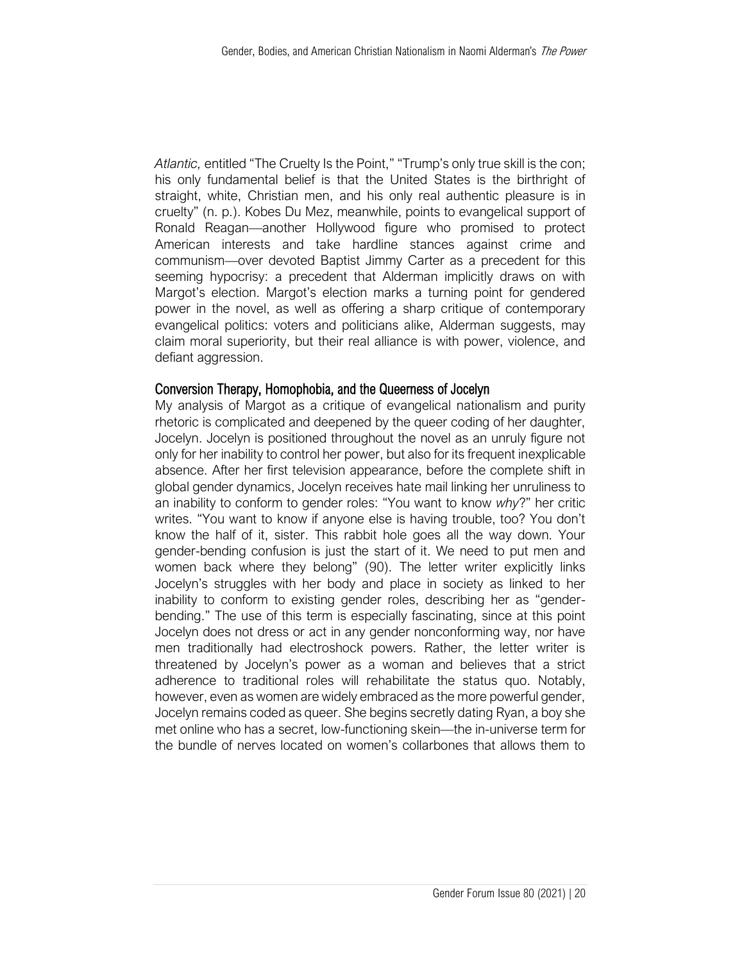*Atlantic,* entitled "The Cruelty Is the Point," "Trump's only true skill is the con; his only fundamental belief is that the United States is the birthright of straight, white, Christian men, and his only real authentic pleasure is in cruelty" (n. p.). Kobes Du Mez, meanwhile, points to evangelical support of Ronald Reagan—another Hollywood figure who promised to protect American interests and take hardline stances against crime and communism—over devoted Baptist Jimmy Carter as a precedent for this seeming hypocrisy: a precedent that Alderman implicitly draws on with Margot's election. Margot's election marks a turning point for gendered power in the novel, as well as offering a sharp critique of contemporary evangelical politics: voters and politicians alike, Alderman suggests, may claim moral superiority, but their real alliance is with power, violence, and defiant aggression.

#### Conversion Therapy, Homophobia, and the Queerness of Jocelyn

My analysis of Margot as a critique of evangelical nationalism and purity rhetoric is complicated and deepened by the queer coding of her daughter, Jocelyn. Jocelyn is positioned throughout the novel as an unruly figure not only for her inability to control her power, but also for its frequent inexplicable absence. After her first television appearance, before the complete shift in global gender dynamics, Jocelyn receives hate mail linking her unruliness to an inability to conform to gender roles: "You want to know *why*?" her critic writes. "You want to know if anyone else is having trouble, too? You don't know the half of it, sister. This rabbit hole goes all the way down. Your gender-bending confusion is just the start of it. We need to put men and women back where they belong" (90). The letter writer explicitly links Jocelyn's struggles with her body and place in society as linked to her inability to conform to existing gender roles, describing her as "genderbending." The use of this term is especially fascinating, since at this point Jocelyn does not dress or act in any gender nonconforming way, nor have men traditionally had electroshock powers. Rather, the letter writer is threatened by Jocelyn's power as a woman and believes that a strict adherence to traditional roles will rehabilitate the status quo. Notably, however, even as women are widely embraced as the more powerful gender, Jocelyn remains coded as queer. She begins secretly dating Ryan, a boy she met online who has a secret, low-functioning skein—the in-universe term for the bundle of nerves located on women's collarbones that allows them to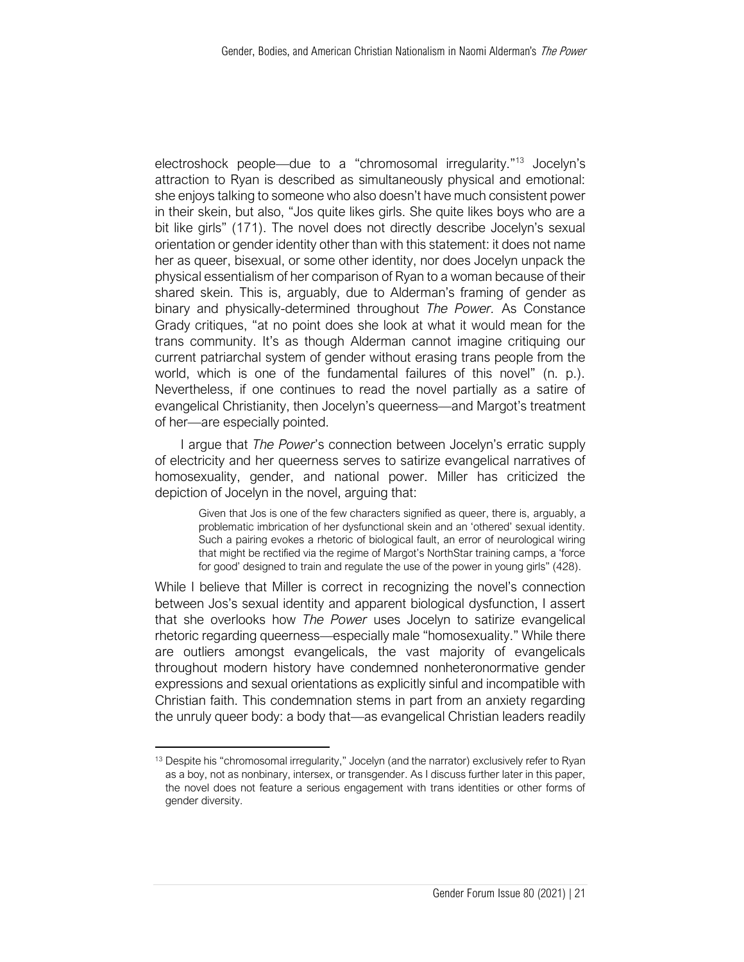electroshock people—due to a "chromosomal irregularity."<sup>13</sup> Jocelyn's attraction to Ryan is described as simultaneously physical and emotional: she enjoys talking to someone who also doesn't have much consistent power in their skein, but also, "Jos quite likes girls. She quite likes boys who are a bit like girls" (171). The novel does not directly describe Jocelyn's sexual orientation or gender identity other than with this statement: it does not name her as queer, bisexual, or some other identity, nor does Jocelyn unpack the physical essentialism of her comparison of Ryan to a woman because of their shared skein. This is, arguably, due to Alderman's framing of gender as binary and physically-determined throughout *The Power.* As Constance Grady critiques, "at no point does she look at what it would mean for the trans community. It's as though Alderman cannot imagine critiquing our current patriarchal system of gender without erasing trans people from the world, which is one of the fundamental failures of this novel" (n. p.). Nevertheless, if one continues to read the novel partially as a satire of evangelical Christianity, then Jocelyn's queerness—and Margot's treatment of her—are especially pointed.

I argue that *The Power*'s connection between Jocelyn's erratic supply of electricity and her queerness serves to satirize evangelical narratives of homosexuality, gender, and national power. Miller has criticized the depiction of Jocelyn in the novel, arguing that:

Given that Jos is one of the few characters signified as queer, there is, arguably, a problematic imbrication of her dysfunctional skein and an 'othered' sexual identity. Such a pairing evokes a rhetoric of biological fault, an error of neurological wiring that might be rectified via the regime of Margot's NorthStar training camps, a 'force for good' designed to train and regulate the use of the power in young girls" (428).

While I believe that Miller is correct in recognizing the novel's connection between Jos's sexual identity and apparent biological dysfunction, I assert that she overlooks how *The Power* uses Jocelyn to satirize evangelical rhetoric regarding queerness—especially male "homosexuality." While there are outliers amongst evangelicals, the vast majority of evangelicals throughout modern history have condemned nonheteronormative gender expressions and sexual orientations as explicitly sinful and incompatible with Christian faith. This condemnation stems in part from an anxiety regarding the unruly queer body: a body that—as evangelical Christian leaders readily

<sup>&</sup>lt;sup>13</sup> Despite his "chromosomal irregularity," Jocelyn (and the narrator) exclusively refer to Ryan as a boy, not as nonbinary, intersex, or transgender. As I discuss further later in this paper, the novel does not feature a serious engagement with trans identities or other forms of gender diversity.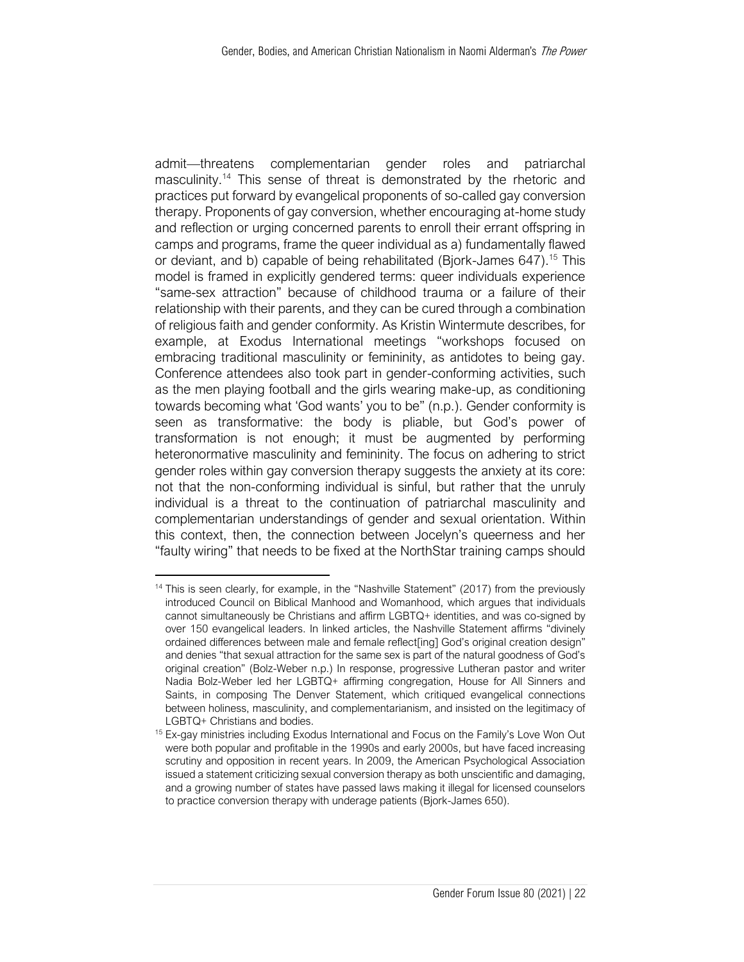admit—threatens complementarian gender roles and patriarchal masculinity.<sup>14</sup> This sense of threat is demonstrated by the rhetoric and practices put forward by evangelical proponents of so-called gay conversion therapy. Proponents of gay conversion, whether encouraging at-home study and reflection or urging concerned parents to enroll their errant offspring in camps and programs, frame the queer individual as a) fundamentally flawed or deviant, and b) capable of being rehabilitated (Bjork-James 647).<sup>15</sup> This model is framed in explicitly gendered terms: queer individuals experience "same-sex attraction" because of childhood trauma or a failure of their relationship with their parents, and they can be cured through a combination of religious faith and gender conformity. As Kristin Wintermute describes, for example, at Exodus International meetings "workshops focused on embracing traditional masculinity or femininity, as antidotes to being gay. Conference attendees also took part in gender-conforming activities, such as the men playing football and the girls wearing make-up, as conditioning towards becoming what 'God wants' you to be" (n.p.). Gender conformity is seen as transformative: the body is pliable, but God's power of transformation is not enough; it must be augmented by performing heteronormative masculinity and femininity. The focus on adhering to strict gender roles within gay conversion therapy suggests the anxiety at its core: not that the non-conforming individual is sinful, but rather that the unruly individual is a threat to the continuation of patriarchal masculinity and complementarian understandings of gender and sexual orientation. Within this context, then, the connection between Jocelyn's queerness and her "faulty wiring" that needs to be fixed at the NorthStar training camps should

<sup>&</sup>lt;sup>14</sup> This is seen clearly, for example, in the "Nashville Statement" (2017) from the previously introduced Council on Biblical Manhood and Womanhood, which argues that individuals cannot simultaneously be Christians and affirm LGBTQ+ identities, and was co-signed by over 150 evangelical leaders. In linked articles, the Nashville Statement affirms "divinely ordained differences between male and female reflect[ing] God's original creation design" and denies "that sexual attraction for the same sex is part of the natural goodness of God's original creation" (Bolz-Weber n.p.) In response, progressive Lutheran pastor and writer Nadia Bolz-Weber led her LGBTQ+ affirming congregation, House for All Sinners and Saints, in composing The Denver Statement, which critiqued evangelical connections between holiness, masculinity, and complementarianism, and insisted on the legitimacy of LGBTQ+ Christians and bodies.

<sup>&</sup>lt;sup>15</sup> Ex-gay ministries including Exodus International and Focus on the Family's Love Won Out were both popular and profitable in the 1990s and early 2000s, but have faced increasing scrutiny and opposition in recent years. In 2009, the American Psychological Association issued a statement criticizing sexual conversion therapy as both unscientific and damaging, and a growing number of states have passed laws making it illegal for licensed counselors to practice conversion therapy with underage patients (Bjork-James 650).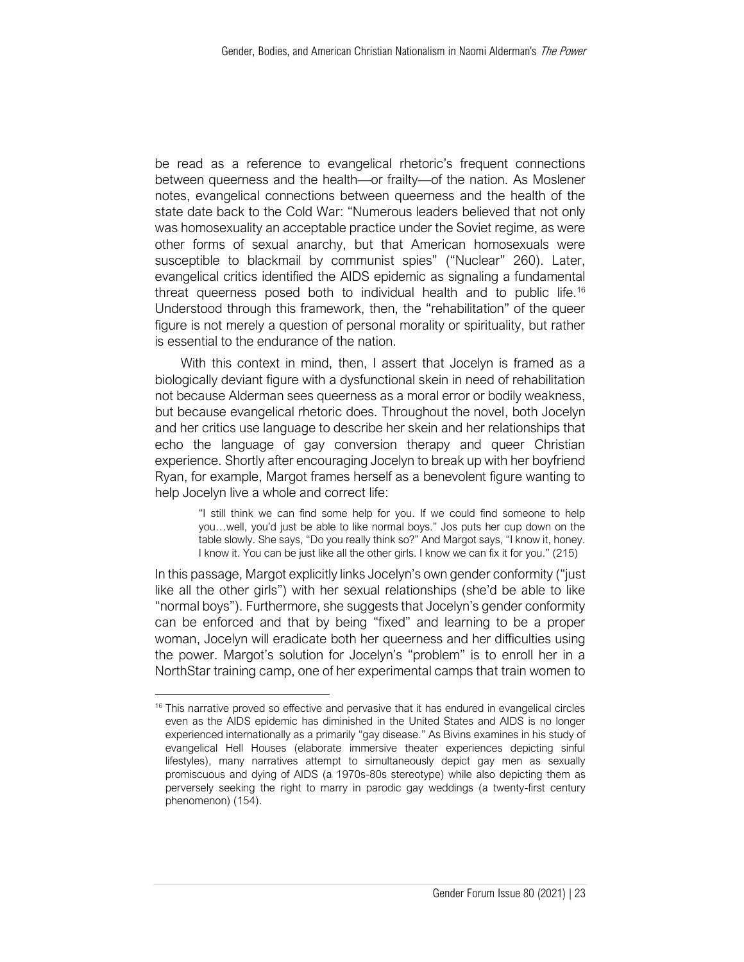be read as a reference to evangelical rhetoric's frequent connections between queerness and the health—or frailty—of the nation. As Moslener notes, evangelical connections between queerness and the health of the state date back to the Cold War: "Numerous leaders believed that not only was homosexuality an acceptable practice under the Soviet regime, as were other forms of sexual anarchy, but that American homosexuals were susceptible to blackmail by communist spies" ("Nuclear" 260). Later, evangelical critics identified the AIDS epidemic as signaling a fundamental threat queerness posed both to individual health and to public life.<sup>16</sup> Understood through this framework, then, the "rehabilitation" of the queer figure is not merely a question of personal morality or spirituality, but rather is essential to the endurance of the nation.

With this context in mind, then, I assert that Jocelyn is framed as a biologically deviant figure with a dysfunctional skein in need of rehabilitation not because Alderman sees queerness as a moral error or bodily weakness, but because evangelical rhetoric does. Throughout the novel, both Jocelyn and her critics use language to describe her skein and her relationships that echo the language of gay conversion therapy and queer Christian experience. Shortly after encouraging Jocelyn to break up with her boyfriend Ryan, for example, Margot frames herself as a benevolent figure wanting to help Jocelyn live a whole and correct life:

"I still think we can find some help for you. If we could find someone to help you…well, you'd just be able to like normal boys." Jos puts her cup down on the table slowly. She says, "Do you really think so?" And Margot says, "I know it, honey. I know it. You can be just like all the other girls. I know we can fix it for you." (215)

In this passage, Margot explicitly links Jocelyn's own gender conformity ("just like all the other girls") with her sexual relationships (she'd be able to like "normal boys"). Furthermore, she suggests that Jocelyn's gender conformity can be enforced and that by being "fixed" and learning to be a proper woman, Jocelyn will eradicate both her queerness and her difficulties using the power. Margot's solution for Jocelyn's "problem" is to enroll her in a NorthStar training camp, one of her experimental camps that train women to

 $16$  This narrative proved so effective and pervasive that it has endured in evangelical circles even as the AIDS epidemic has diminished in the United States and AIDS is no longer experienced internationally as a primarily "gay disease." As Bivins examines in his study of evangelical Hell Houses (elaborate immersive theater experiences depicting sinful lifestyles), many narratives attempt to simultaneously depict gay men as sexually promiscuous and dying of AIDS (a 1970s-80s stereotype) while also depicting them as perversely seeking the right to marry in parodic gay weddings (a twenty-first century phenomenon) (154).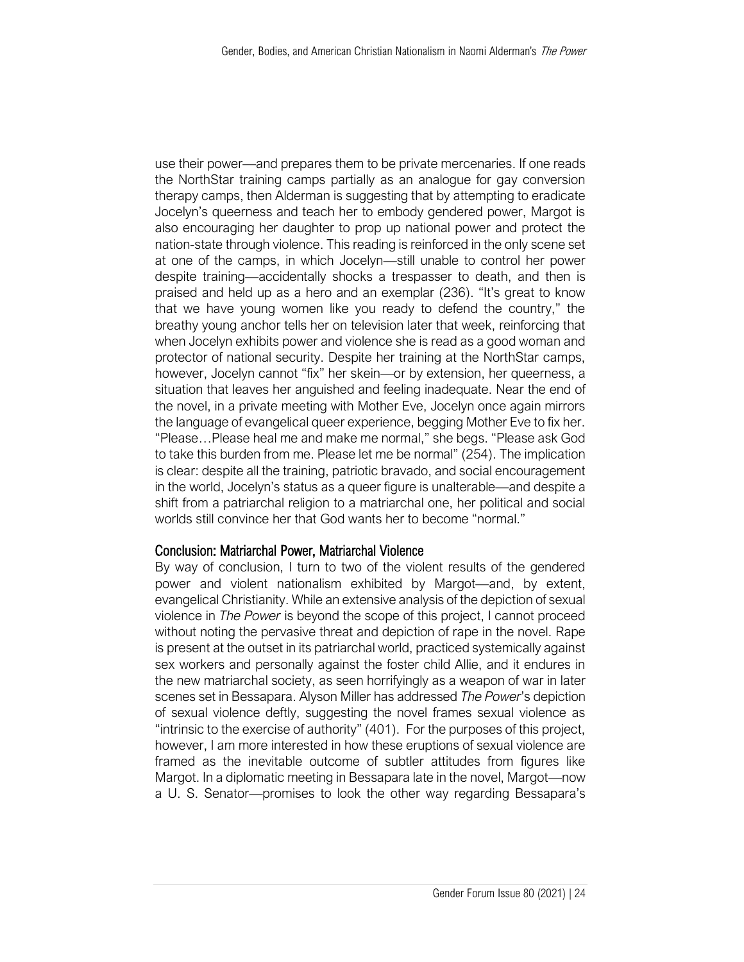use their power—and prepares them to be private mercenaries. If one reads the NorthStar training camps partially as an analogue for gay conversion therapy camps, then Alderman is suggesting that by attempting to eradicate Jocelyn's queerness and teach her to embody gendered power, Margot is also encouraging her daughter to prop up national power and protect the nation-state through violence. This reading is reinforced in the only scene set at one of the camps, in which Jocelyn—still unable to control her power despite training—accidentally shocks a trespasser to death, and then is praised and held up as a hero and an exemplar (236). "It's great to know that we have young women like you ready to defend the country," the breathy young anchor tells her on television later that week, reinforcing that when Jocelyn exhibits power and violence she is read as a good woman and protector of national security. Despite her training at the NorthStar camps, however, Jocelyn cannot "fix" her skein—or by extension, her queerness, a situation that leaves her anguished and feeling inadequate. Near the end of the novel, in a private meeting with Mother Eve, Jocelyn once again mirrors the language of evangelical queer experience, begging Mother Eve to fix her. "Please…Please heal me and make me normal," she begs. "Please ask God to take this burden from me. Please let me be normal" (254). The implication is clear: despite all the training, patriotic bravado, and social encouragement in the world, Jocelyn's status as a queer figure is unalterable—and despite a shift from a patriarchal religion to a matriarchal one, her political and social worlds still convince her that God wants her to become "normal."

#### Conclusion: Matriarchal Power, Matriarchal Violence

By way of conclusion, I turn to two of the violent results of the gendered power and violent nationalism exhibited by Margot—and, by extent, evangelical Christianity. While an extensive analysis of the depiction of sexual violence in *The Power* is beyond the scope of this project, I cannot proceed without noting the pervasive threat and depiction of rape in the novel. Rape is present at the outset in its patriarchal world, practiced systemically against sex workers and personally against the foster child Allie, and it endures in the new matriarchal society, as seen horrifyingly as a weapon of war in later scenes set in Bessapara. Alyson Miller has addressed *The Power*'s depiction of sexual violence deftly, suggesting the novel frames sexual violence as "intrinsic to the exercise of authority" (401). For the purposes of this project, however, I am more interested in how these eruptions of sexual violence are framed as the inevitable outcome of subtler attitudes from figures like Margot. In a diplomatic meeting in Bessapara late in the novel, Margot—now a U. S. Senator—promises to look the other way regarding Bessapara's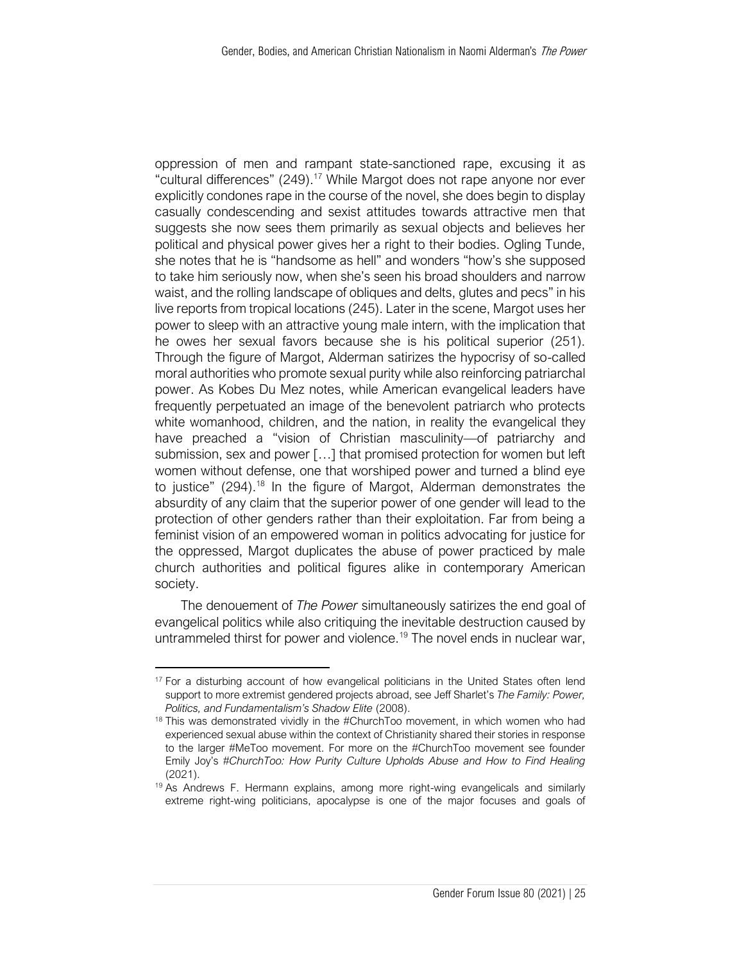oppression of men and rampant state-sanctioned rape, excusing it as "cultural differences" (249).<sup>17</sup> While Margot does not rape anyone nor ever explicitly condones rape in the course of the novel, she does begin to display casually condescending and sexist attitudes towards attractive men that suggests she now sees them primarily as sexual objects and believes her political and physical power gives her a right to their bodies. Ogling Tunde, she notes that he is "handsome as hell" and wonders "how's she supposed to take him seriously now, when she's seen his broad shoulders and narrow waist, and the rolling landscape of obliques and delts, glutes and pecs" in his live reports from tropical locations (245). Later in the scene, Margot uses her power to sleep with an attractive young male intern, with the implication that he owes her sexual favors because she is his political superior (251). Through the figure of Margot, Alderman satirizes the hypocrisy of so-called moral authorities who promote sexual purity while also reinforcing patriarchal power. As Kobes Du Mez notes, while American evangelical leaders have frequently perpetuated an image of the benevolent patriarch who protects white womanhood, children, and the nation, in reality the evangelical they have preached a "vision of Christian masculinity—of patriarchy and submission, sex and power […] that promised protection for women but left women without defense, one that worshiped power and turned a blind eye to justice" (294).<sup>18</sup> In the figure of Margot, Alderman demonstrates the absurdity of any claim that the superior power of one gender will lead to the protection of other genders rather than their exploitation. Far from being a feminist vision of an empowered woman in politics advocating for justice for the oppressed, Margot duplicates the abuse of power practiced by male church authorities and political figures alike in contemporary American society.

The denouement of *The Power* simultaneously satirizes the end goal of evangelical politics while also critiquing the inevitable destruction caused by untrammeled thirst for power and violence.<sup>19</sup> The novel ends in nuclear war,

<sup>&</sup>lt;sup>17</sup> For a disturbing account of how evangelical politicians in the United States often lend support to more extremist gendered projects abroad, see Jeff Sharlet's *The Family: Power, Politics, and Fundamentalism's Shadow Elite* (2008).

<sup>&</sup>lt;sup>18</sup> This was demonstrated vividly in the #ChurchToo movement, in which women who had experienced sexual abuse within the context of Christianity shared their stories in response to the larger #MeToo movement. For more on the #ChurchToo movement see founder Emily Joy's *#ChurchToo: How Purity Culture Upholds Abuse and How to Find Healing*  (2021).

<sup>&</sup>lt;sup>19</sup> As Andrews F. Hermann explains, among more right-wing evangelicals and similarly extreme right-wing politicians, apocalypse is one of the major focuses and goals of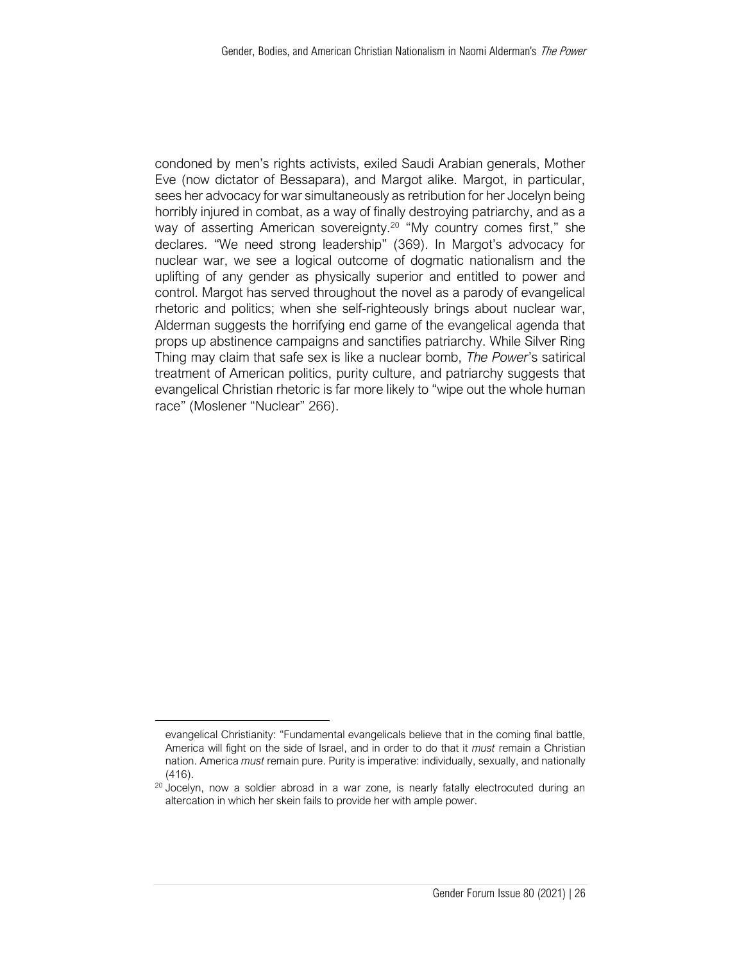condoned by men's rights activists, exiled Saudi Arabian generals, Mother Eve (now dictator of Bessapara), and Margot alike. Margot, in particular, sees her advocacy for war simultaneously as retribution for her Jocelyn being horribly injured in combat, as a way of finally destroying patriarchy, and as a way of asserting American sovereignty.<sup>20</sup> "My country comes first," she declares. "We need strong leadership" (369). In Margot's advocacy for nuclear war, we see a logical outcome of dogmatic nationalism and the uplifting of any gender as physically superior and entitled to power and control. Margot has served throughout the novel as a parody of evangelical rhetoric and politics; when she self-righteously brings about nuclear war, Alderman suggests the horrifying end game of the evangelical agenda that props up abstinence campaigns and sanctifies patriarchy. While Silver Ring Thing may claim that safe sex is like a nuclear bomb, *The Power*'s satirical treatment of American politics, purity culture, and patriarchy suggests that evangelical Christian rhetoric is far more likely to "wipe out the whole human race" (Moslener "Nuclear" 266).

evangelical Christianity: "Fundamental evangelicals believe that in the coming final battle, America will fight on the side of Israel, and in order to do that it *must* remain a Christian nation. America *must* remain pure. Purity is imperative: individually, sexually, and nationally (416).

<sup>&</sup>lt;sup>20</sup> Jocelyn, now a soldier abroad in a war zone, is nearly fatally electrocuted during an altercation in which her skein fails to provide her with ample power.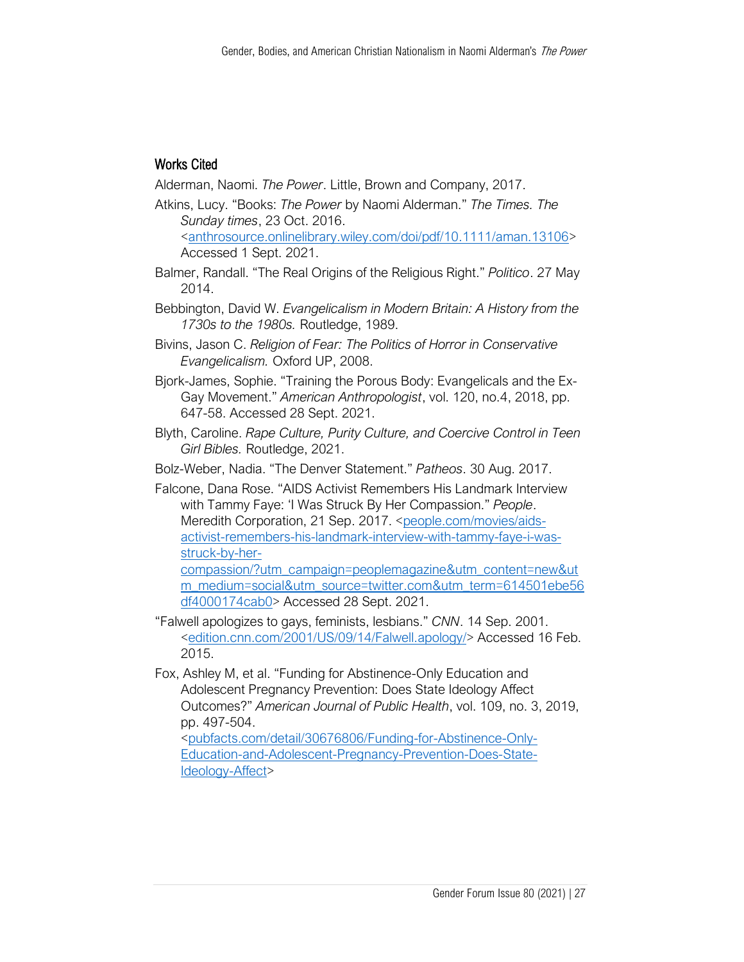# Works Cited

Alderman, Naomi. *The Power*. Little, Brown and Company, 2017.

- Atkins, Lucy. "Books: *The Power* by Naomi Alderman." *The Times. The Sunday times*, 23 Oct. 2016. [<anthrosource.onlinelibrary.wiley.com/doi/pdf/10.1111/aman.13106>](https://anthrosource.onlinelibrary.wiley.com/doi/pdf/10.1111/aman.13106) Accessed 1 Sept. 2021.
- Balmer, Randall. "The Real Origins of the Religious Right." *Politico*. 27 May 2014.
- Bebbington, David W. *Evangelicalism in Modern Britain: A History from the 1730s to the 1980s.* Routledge, 1989.
- Bivins, Jason C. *Religion of Fear: The Politics of Horror in Conservative Evangelicalism.* Oxford UP, 2008.
- Bjork-James, Sophie. "Training the Porous Body: Evangelicals and the Ex-Gay Movement." *American Anthropologist*, vol. 120, no.4, 2018, pp. 647-58. Accessed 28 Sept. 2021.
- Blyth, Caroline. *Rape Culture, Purity Culture, and Coercive Control in Teen Girl Bibles.* Routledge, 2021.
- Bolz-Weber, Nadia. "The Denver Statement." *Patheos*. 30 Aug. 2017.
- Falcone, Dana Rose. "AIDS Activist Remembers His Landmark Interview with Tammy Faye: 'I Was Struck By Her Compassion." *People*. Meredith Corporation, 21 Sep. 2017. [<people.com/movies/aids](http://www.people.com/movies/aids-activist-remembers-his-landmark-interview-with-tammy-faye-i-was-struck-by-her-compassion/?utm_campaign=peoplemagazine&utm_content=new&utm_medium=social&utm_source=twitter.com&utm_term=614501ebe56df4000174cab0)[activist-remembers-his-landmark-interview-with-tammy-faye-i-was](http://www.people.com/movies/aids-activist-remembers-his-landmark-interview-with-tammy-faye-i-was-struck-by-her-compassion/?utm_campaign=peoplemagazine&utm_content=new&utm_medium=social&utm_source=twitter.com&utm_term=614501ebe56df4000174cab0)[struck-by-her-](http://www.people.com/movies/aids-activist-remembers-his-landmark-interview-with-tammy-faye-i-was-struck-by-her-compassion/?utm_campaign=peoplemagazine&utm_content=new&utm_medium=social&utm_source=twitter.com&utm_term=614501ebe56df4000174cab0)

[compassion/?utm\\_campaign=peoplemagazine&utm\\_content=new&ut](http://www.people.com/movies/aids-activist-remembers-his-landmark-interview-with-tammy-faye-i-was-struck-by-her-compassion/?utm_campaign=peoplemagazine&utm_content=new&utm_medium=social&utm_source=twitter.com&utm_term=614501ebe56df4000174cab0) [m\\_medium=social&utm\\_source=twitter.com&utm\\_term=614501ebe56](http://www.people.com/movies/aids-activist-remembers-his-landmark-interview-with-tammy-faye-i-was-struck-by-her-compassion/?utm_campaign=peoplemagazine&utm_content=new&utm_medium=social&utm_source=twitter.com&utm_term=614501ebe56df4000174cab0) [df4000174cab0>](http://www.people.com/movies/aids-activist-remembers-his-landmark-interview-with-tammy-faye-i-was-struck-by-her-compassion/?utm_campaign=peoplemagazine&utm_content=new&utm_medium=social&utm_source=twitter.com&utm_term=614501ebe56df4000174cab0) Accessed 28 Sept. 2021.

- "Falwell apologizes to gays, feminists, lesbians." *CNN*. 14 Sep. 2001. [<edition.cnn.com/2001/US/09/14/Falwell.apology/>](http://www.edition.cnn.com/2001/US/09/14/Falwell.apology/) Accessed 16 Feb. 2015.
- Fox, Ashley M, et al. "Funding for Abstinence-Only Education and Adolescent Pregnancy Prevention: Does State Ideology Affect Outcomes?" *American Journal of Public Health*, vol. 109, no. 3, 2019, pp. 497-504.

[<pubfacts.com/detail/30676806/Funding-for-Abstinence-Only-](http://www.pubfacts.com/detail/30676806/Funding-for-Abstinence-Only-Education-and-Adolescent-Pregnancy-Prevention-Does-State-Ideology-Affect)[Education-and-Adolescent-Pregnancy-Prevention-Does-State-](http://www.pubfacts.com/detail/30676806/Funding-for-Abstinence-Only-Education-and-Adolescent-Pregnancy-Prevention-Does-State-Ideology-Affect)[Ideology-Affect>](http://www.pubfacts.com/detail/30676806/Funding-for-Abstinence-Only-Education-and-Adolescent-Pregnancy-Prevention-Does-State-Ideology-Affect)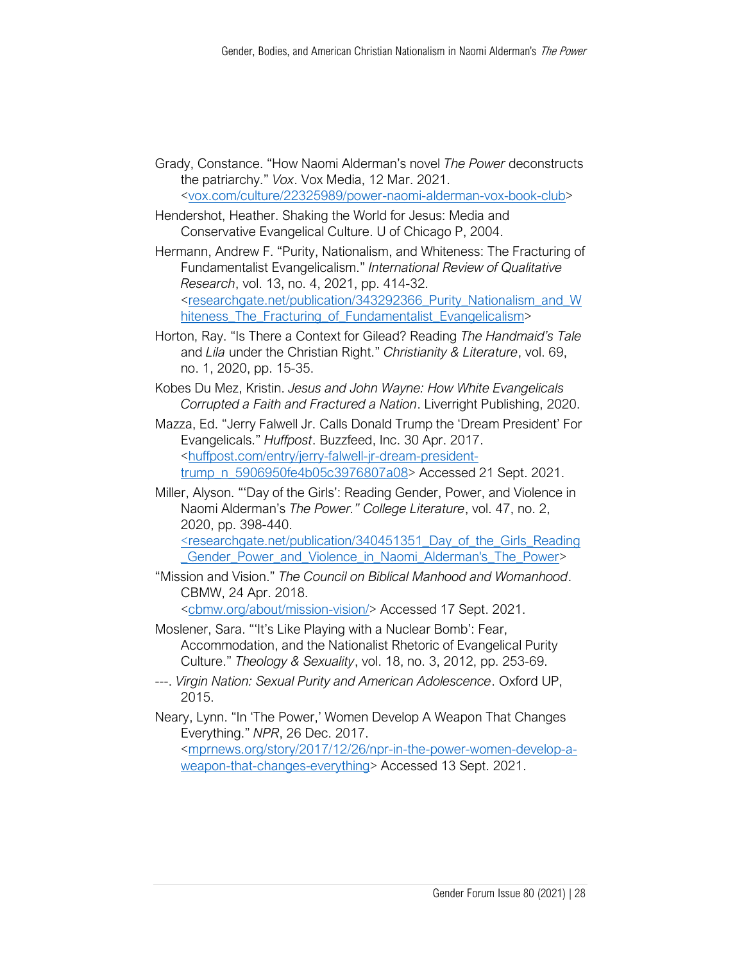Grady, Constance. "How Naomi Alderman's novel *The Power* deconstructs the patriarchy." *Vox*. Vox Media, 12 Mar. 2021. [<vox.com/culture/22325989/power-naomi-alderman-vox-book-club>](http://www.vox.com/culture/22325989/power-naomi-alderman-vox-book-club)

Hendershot, Heather. Shaking the World for Jesus: Media and Conservative Evangelical Culture. U of Chicago P, 2004.

Hermann, Andrew F. "Purity, Nationalism, and Whiteness: The Fracturing of Fundamentalist Evangelicalism." *International Review of Qualitative Research*, vol. 13, no. 4, 2021, pp. 414-32. [<researchgate.net/publication/343292366\\_Purity\\_Nationalism\\_and\\_W](http://www.researchgate.net/publication/343292366_Purity_Nationalism_and_Whiteness_The_Fracturing_of_Fundamentalist_Evangelicalism) hiteness The Fracturing of Fundamentalist Evangelicalism>

- Horton, Ray. "Is There a Context for Gilead? Reading *The Handmaid's Tale* and *Lila* under the Christian Right." *Christianity & Literature*, vol. 69, no. 1, 2020, pp. 15-35.
- Kobes Du Mez, Kristin. *Jesus and John Wayne: How White Evangelicals Corrupted a Faith and Fractured a Nation*. Liverright Publishing, 2020.
- Mazza, Ed. "Jerry Falwell Jr. Calls Donald Trump the 'Dream President' For Evangelicals." *Huffpost*. Buzzfeed, Inc. 30 Apr. 2017. [<huffpost.com/entry/jerry-falwell-jr-dream-president](http://www.huffpost.com/entry/jerry-falwell-jr-dream-president-trump_n_5906950fe4b05c3976807a08)[trump\\_n\\_5906950fe4b05c3976807a08>](http://www.huffpost.com/entry/jerry-falwell-jr-dream-president-trump_n_5906950fe4b05c3976807a08) Accessed 21 Sept. 2021.
- Miller, Alyson. "'Day of the Girls': Reading Gender, Power, and Violence in Naomi Alderman's *The Power." College Literature*, vol. 47, no. 2, 2020, pp. 398-440.

[<researchgate.net/publication/340451351\\_Day\\_of\\_the\\_Girls\\_Reading](http://www.researchgate.net/publication/340451351_Day_of_the_Girls_Reading_Gender_Power_and_Violence_in_Naomi_Alderman) [\\_Gender\\_Power\\_and\\_Violence\\_in\\_Naomi\\_Alderman's\\_The\\_Power>](http://www.researchgate.net/publication/340451351_Day_of_the_Girls_Reading_Gender_Power_and_Violence_in_Naomi_Alderman)

"Mission and Vision." *The Council on Biblical Manhood and Womanhood*. CBMW, 24 Apr. 2018. [<cbmw.org/about/mission-vision/>](http://www.cbmw.org/about/mission-vision/) Accessed 17 Sept. 2021.

Moslener, Sara. "'It's Like Playing with a Nuclear Bomb': Fear, Accommodation, and the Nationalist Rhetoric of Evangelical Purity Culture." *Theology & Sexuality*, vol. 18, no. 3, 2012, pp. 253-69.

---. *Virgin Nation: Sexual Purity and American Adolescence*. Oxford UP, 2015.

Neary, Lynn. "In 'The Power,' Women Develop A Weapon That Changes Everything." *NPR*, 26 Dec. 2017. [<mprnews.org/story/2017/12/26/npr-in-the-power-women-develop-a-](http://www.mprnews.org/story/2017/12/26/npr-in-the-power-women-develop-a-weapon-that-changes-everything)

[weapon-that-changes-everything>](http://www.mprnews.org/story/2017/12/26/npr-in-the-power-women-develop-a-weapon-that-changes-everything) Accessed 13 Sept. 2021.